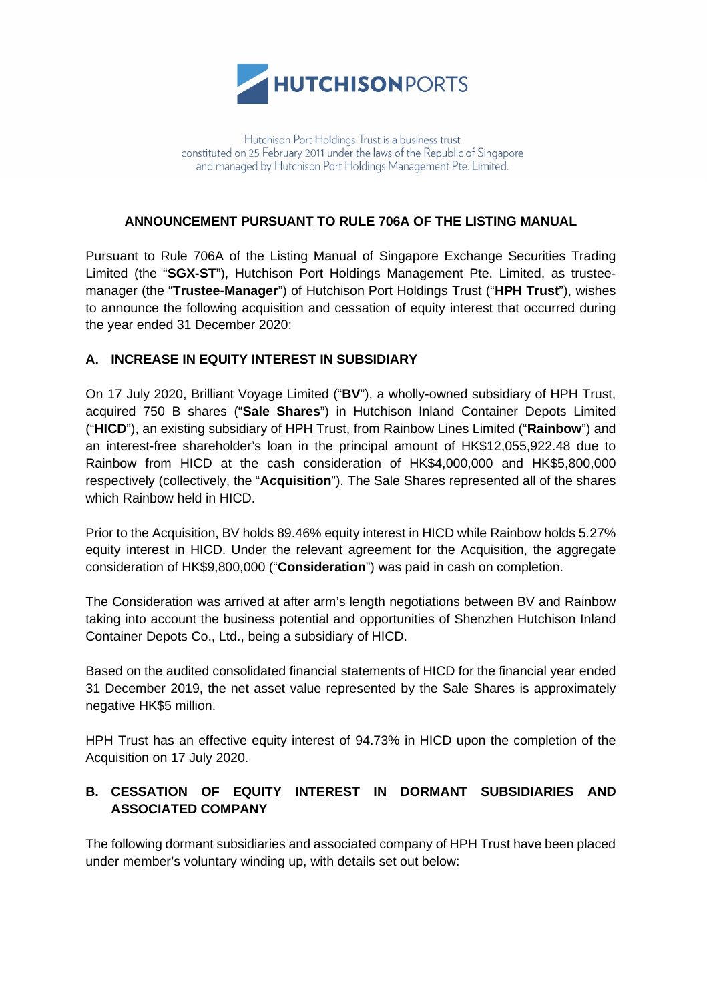

## **ANNOUNCEMENT PURSUANT TO RULE 706A OF THE LISTING MANUAL**

Pursuant to Rule 706A of the Listing Manual of Singapore Exchange Securities Trading Limited (the "**SGX-ST**"), Hutchison Port Holdings Management Pte. Limited, as trusteemanager (the "**Trustee-Manager**") of Hutchison Port Holdings Trust ("**HPH Trust**"), wishes to announce the following acquisition and cessation of equity interest that occurred during the year ended 31 December 2020:

## **A. INCREASE IN EQUITY INTEREST IN SUBSIDIARY**

On 17 July 2020, Brilliant Voyage Limited ("**BV**"), a wholly-owned subsidiary of HPH Trust, acquired 750 B shares ("**Sale Shares**") in Hutchison Inland Container Depots Limited ("**HICD**"), an existing subsidiary of HPH Trust, from Rainbow Lines Limited ("**Rainbow**") and an interest-free shareholder's loan in the principal amount of HK\$12,055,922.48 due to Rainbow from HICD at the cash consideration of HK\$4,000,000 and HK\$5,800,000 respectively (collectively, the "**Acquisition**"). The Sale Shares represented all of the shares which Rainbow held in HICD.

Prior to the Acquisition, BV holds 89.46% equity interest in HICD while Rainbow holds 5.27% equity interest in HICD. Under the relevant agreement for the Acquisition, the aggregate consideration of HK\$9,800,000 ("**Consideration**") was paid in cash on completion.

The Consideration was arrived at after arm's length negotiations between BV and Rainbow taking into account the business potential and opportunities of Shenzhen Hutchison Inland Container Depots Co., Ltd., being a subsidiary of HICD.

Based on the audited consolidated financial statements of HICD for the financial year ended 31 December 2019, the net asset value represented by the Sale Shares is approximately negative HK\$5 million.

HPH Trust has an effective equity interest of 94.73% in HICD upon the completion of the Acquisition on 17 July 2020.

## **B. CESSATION OF EQUITY INTEREST IN DORMANT SUBSIDIARIES AND ASSOCIATED COMPANY**

The following dormant subsidiaries and associated company of HPH Trust have been placed under member's voluntary winding up, with details set out below: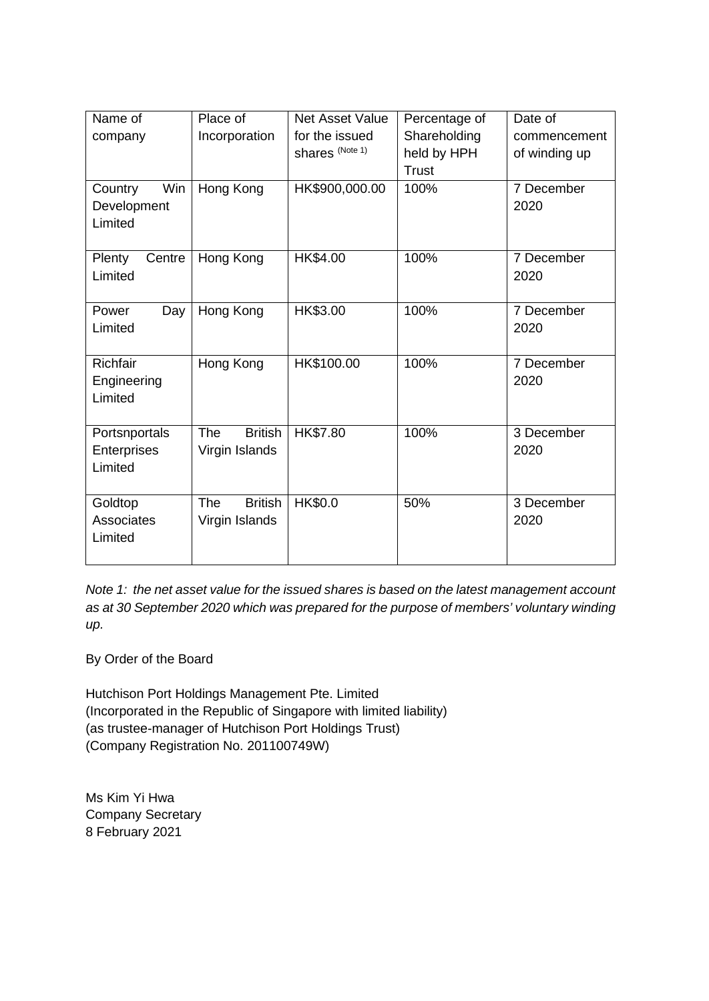| Name of                                  | Place of                                       | <b>Net Asset Value</b>            | Percentage of                               | Date of                       |
|------------------------------------------|------------------------------------------------|-----------------------------------|---------------------------------------------|-------------------------------|
| company                                  | Incorporation                                  | for the issued<br>shares (Note 1) | Shareholding<br>held by HPH<br><b>Trust</b> | commencement<br>of winding up |
| Win<br>Country<br>Development<br>Limited | Hong Kong                                      | HK\$900,000.00                    | 100%                                        | 7 December<br>2020            |
| Centre<br>Plenty<br>Limited              | Hong Kong                                      | HK\$4.00                          | 100%                                        | 7 December<br>2020            |
| Power<br>Day<br>Limited                  | Hong Kong                                      | HK\$3.00                          | 100%                                        | 7 December<br>2020            |
| Richfair<br>Engineering<br>Limited       | Hong Kong                                      | HK\$100.00                        | 100%                                        | 7 December<br>2020            |
| Portsnportals<br>Enterprises<br>Limited  | <b>The</b><br><b>British</b><br>Virgin Islands | HK\$7.80                          | 100%                                        | 3 December<br>2020            |
| Goldtop<br><b>Associates</b><br>Limited  | <b>British</b><br><b>The</b><br>Virgin Islands | HK\$0.0                           | 50%                                         | 3 December<br>2020            |

*Note 1: the net asset value for the issued shares is based on the latest management account as at 30 September 2020 which was prepared for the purpose of members' voluntary winding up.*

By Order of the Board

Hutchison Port Holdings Management Pte. Limited (Incorporated in the Republic of Singapore with limited liability) (as trustee-manager of Hutchison Port Holdings Trust) (Company Registration No. 201100749W)

Ms Kim Yi Hwa Company Secretary 8 February 2021